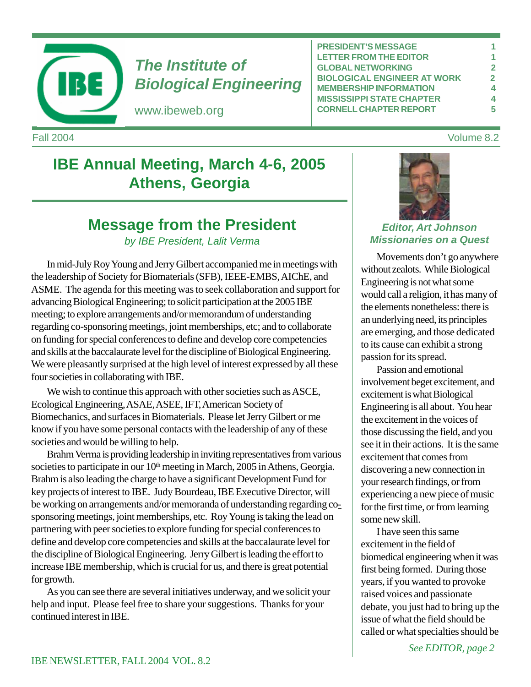

# *The Institute of Biological Engineering*

www.ibeweb.org

**PRESIDENT'S MESSAGE 1 LETTER FROM THE EDITOR** 1 **GLOBAL NETWORKING 2 BIOLOGICAL ENGINEER AT WORK 2 MEMBERSHIP INFORMATION 4 MISSISSIPPI STATE CHAPTER 4 CORNELL CHAPTER REPORT 5**

Fall 2004 Volume 8.2

# **IBE Annual Meeting, March 4-6, 2005 Athens, Georgia**

# **Message from the President**

*by IBE President, Lalit Verma*

In mid-July Roy Young and Jerry Gilbert accompanied me in meetings with the leadership of Society for Biomaterials (SFB), IEEE-EMBS, AIChE, and ASME. The agenda for this meeting was to seek collaboration and support for advancing Biological Engineering; to solicit participation at the 2005 IBE meeting; to explore arrangements and/or memorandum of understanding regarding co-sponsoring meetings, joint memberships, etc; and to collaborate on funding for special conferences to define and develop core competencies and skills at the baccalaurate level for the discipline of Biological Engineering. We were pleasantly surprised at the high level of interest expressed by all these four societies in collaborating with IBE.

We wish to continue this approach with other societies such as ASCE, Ecological Engineering, ASAE, ASEE, IFT, American Society of Biomechanics, and surfaces in Biomaterials. Please let Jerry Gilbert or me know if you have some personal contacts with the leadership of any of these societies and would be willing to help.

Brahm Verma is providing leadership in inviting representatives from various societies to participate in our 10<sup>th</sup> meeting in March, 2005 in Athens, Georgia. Brahm is also leading the charge to have a significant Development Fund for key projects of interest to IBE. Judy Bourdeau, IBE Executive Director, will be working on arrangements and/or memoranda of understanding regarding cosponsoring meetings, joint memberships, etc. Roy Young is taking the lead on partnering with peer societies to explore funding for special conferences to define and develop core competencies and skills at the baccalaurate level for the discipline of Biological Engineering. Jerry Gilbert is leading the effort to increase IBE membership, which is crucial for us, and there is great potential for growth.

As you can see there are several initiatives underway, and we solicit your help and input. Please feel free to share your suggestions. Thanks for your continued interest in IBE.



### *Editor, Art Johnson Missionaries on a Quest*

Movements don't go anywhere without zealots. While Biological Engineering is not what some would call a religion, it has many of the elements nonetheless: there is an underlying need, its principles are emerging, and those dedicated to its cause can exhibit a strong passion for its spread.

Passion and emotional involvement beget excitement, and excitement is what Biological Engineering is all about. You hear the excitement in the voices of those discussing the field, and you see it in their actions. It is the same excitement that comes from discovering a new connection in your research findings, or from experiencing a new piece of music for the first time, or from learning some new skill.

I have seen this same excitement in the field of biomedical engineering when it was first being formed. During those years, if you wanted to provoke raised voices and passionate debate, you just had to bring up the issue of what the field should be called or what specialties should be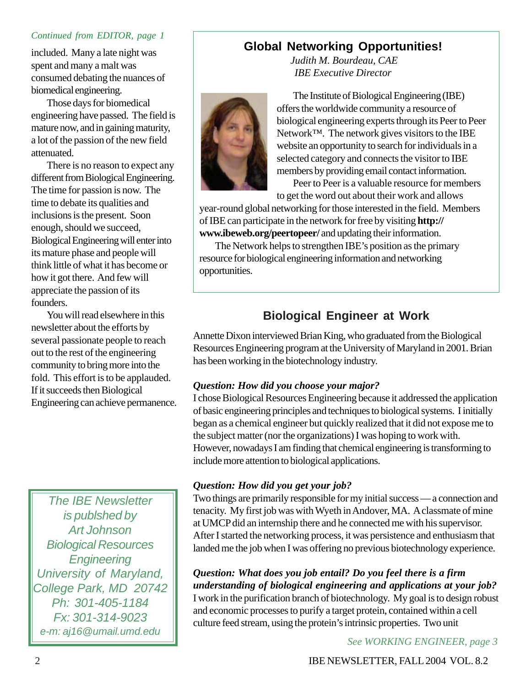#### *Continued from EDITOR, page 1*

included. Many a late night was spent and many a malt was consumed debating the nuances of biomedical engineering.

Those days for biomedical engineering have passed. The field is mature now, and in gaining maturity, a lot of the passion of the new field attenuated.

There is no reason to expect any different from Biological Engineering. The time for passion is now. The time to debate its qualities and inclusions is the present. Soon enough, should we succeed, Biological Engineering will enter into its mature phase and people will think little of what it has become or how it got there. And few will appreciate the passion of its founders.

You will read elsewhere in this newsletter about the efforts by several passionate people to reach out to the rest of the engineering community to bring more into the fold. This effort is to be applauded. If it succeeds then Biological Engineering can achieve permanence.

*The IBE Newsletter is publshed by Art Johnson Biological Resources Engineering University of Maryland, College Park, MD 20742 Ph: 301-405-1184 Fx: 301-314-9023 e-m: aj16@umail.umd.edu*

## **Global Networking Opportunities!**

*Judith M. Bourdeau, CAE IBE Executive Director*



The Institute of Biological Engineering (IBE) offers the worldwide community a resource of biological engineering experts through its Peer to Peer Network™. The network gives visitors to the IBE website an opportunity to search for individuals in a selected category and connects the visitor to IBE members by providing email contact information.

Peer to Peer is a valuable resource for members to get the word out about their work and allows

year-round global networking for those interested in the field. Members of IBE can participate in the network for free by visiting **http:// www.ibeweb.org/peertopeer/** and updating their information.

The Network helps to strengthen IBE's position as the primary resource for biological engineering information and networking opportunities.

## **Biological Engineer at Work**

Annette Dixon interviewed Brian King, who graduated from the Biological Resources Engineering program at the University of Maryland in 2001. Brian has been working in the biotechnology industry.

#### *Question: How did you choose your major?*

I chose Biological Resources Engineering because it addressed the application of basic engineering principles and techniques to biological systems. I initially began as a chemical engineer but quickly realized that it did not expose me to the subject matter (nor the organizations) I was hoping to work with. However, nowadays I am finding that chemical engineering is transforming to include more attention to biological applications.

#### *Question: How did you get your job?*

Two things are primarily responsible for my initial success — a connection and tenacity. My first job was with Wyeth in Andover, MA. A classmate of mine at UMCP did an internship there and he connected me with his supervisor. After I started the networking process, it was persistence and enthusiasm that landed me the job when I was offering no previous biotechnology experience.

*Question: What does you job entail? Do you feel there is a firm understanding of biological engineering and applications at your job?* I work in the purification branch of biotechnology. My goal is to design robust and economic processes to purify a target protein, contained within a cell culture feed stream, using the protein's intrinsic properties. Two unit

*See WORKING ENGINEER, page 3*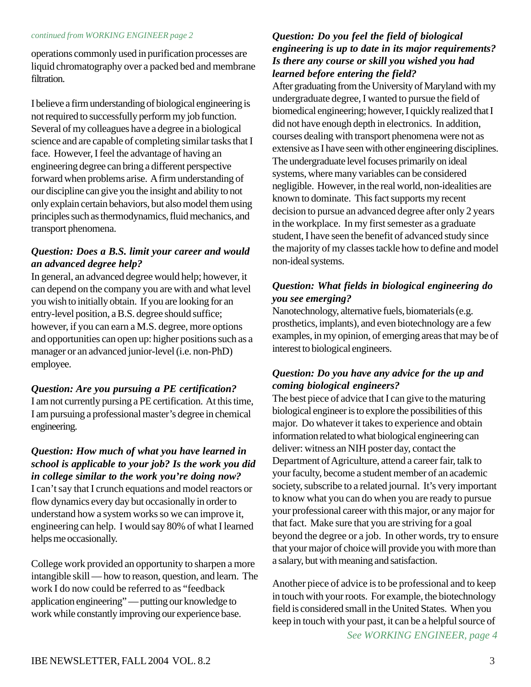operations commonly used in purification processes are liquid chromatography over a packed bed and membrane filtration.

I believe a firm understanding of biological engineering is not required to successfully perform my job function. Several of my colleagues have a degree in a biological science and are capable of completing similar tasks that I face. However, I feel the advantage of having an engineering degree can bring a different perspective forward when problems arise. A firm understanding of our discipline can give you the insight and ability to not only explain certain behaviors, but also model them using principles such as thermodynamics, fluid mechanics, and transport phenomena.

### *Question: Does a B.S. limit your career and would an advanced degree help?*

In general, an advanced degree would help; however, it can depend on the company you are with and what level you wish to initially obtain. If you are looking for an entry-level position, a B.S. degree should suffice; however, if you can earn a M.S. degree, more options and opportunities can open up: higher positions such as a manager or an advanced junior-level (i.e. non-PhD) employee.

### *Question: Are you pursuing a PE certification?*

I am not currently pursing a PE certification. At this time, I am pursuing a professional master's degree in chemical engineering.

#### *Question: How much of what you have learned in school is applicable to your job? Is the work you did in college similar to the work you're doing now?*

I can't say that I crunch equations and model reactors or flow dynamics every day but occasionally in order to understand how a system works so we can improve it, engineering can help. I would say 80% of what I learned helps me occasionally.

College work provided an opportunity to sharpen a more intangible skill — how to reason, question, and learn. The work I do now could be referred to as "feedback application engineering" — putting our knowledge to work while constantly improving our experience base.

#### *Question: Do you feel the field of biological engineering is up to date in its major requirements? Is there any course or skill you wished you had learned before entering the field?*

After graduating from the University of Maryland with my undergraduate degree, I wanted to pursue the field of biomedical engineering; however, I quickly realized that I did not have enough depth in electronics. In addition, courses dealing with transport phenomena were not as extensive as I have seen with other engineering disciplines. The undergraduate level focuses primarily on ideal systems, where many variables can be considered negligible. However, in the real world, non-idealities are known to dominate. This fact supports my recent decision to pursue an advanced degree after only 2 years in the workplace. In my first semester as a graduate student, I have seen the benefit of advanced study since the majority of my classes tackle how to define and model non-ideal systems.

### *Question: What fields in biological engineering do you see emerging?*

Nanotechnology, alternative fuels, biomaterials (e.g. prosthetics, implants), and even biotechnology are a few examples, in my opinion, of emerging areas that may be of interest to biological engineers.

### *Question: Do you have any advice for the up and coming biological engineers?*

The best piece of advice that I can give to the maturing biological engineer is to explore the possibilities of this major. Do whatever it takes to experience and obtain information related to what biological engineering can deliver: witness an NIH poster day, contact the Department of Agriculture, attend a career fair, talk to your faculty, become a student member of an academic society, subscribe to a related journal. It's very important to know what you can do when you are ready to pursue your professional career with this major, or any major for that fact. Make sure that you are striving for a goal beyond the degree or a job. In other words, try to ensure that your major of choice will provide you with more than a salary, but with meaning and satisfaction.

*See WORKING ENGINEER, page 4* Another piece of advice is to be professional and to keep in touch with your roots. For example, the biotechnology field is considered small in the United States. When you keep in touch with your past, it can be a helpful source of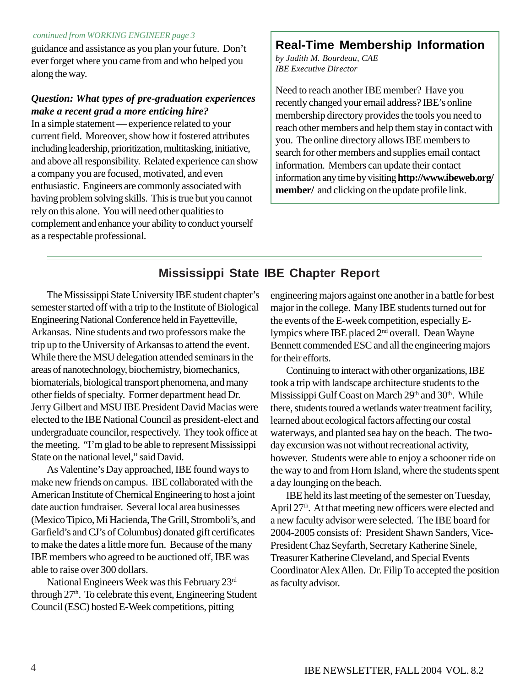#### *continued from WORKING ENGINEER page 3*

guidance and assistance as you plan your future. Don't ever forget where you came from and who helped you along the way.

#### *Question: What types of pre-graduation experiences make a recent grad a more enticing hire?*

In a simple statement — experience related to your current field. Moreover, show how it fostered attributes including leadership, prioritization, multitasking, initiative, and above all responsibility. Related experience can show a company you are focused, motivated, and even enthusiastic. Engineers are commonly associated with having problem solving skills. This is true but you cannot rely on this alone. You will need other qualities to complement and enhance your ability to conduct yourself as a respectable professional.

## **Real-Time Membership Information**

*by Judith M. Bourdeau, CAE IBE Executive Director*

Need to reach another IBE member? Have you recently changed your email address? IBE's online membership directory provides the tools you need to reach other members and help them stay in contact with you. The online directory allows IBE members to search for other members and supplies email contact information. Members can update their contact information any time by visiting **http://www.ibeweb.org/ member/** and clicking on the update profile link.

## **Mississippi State IBE Chapter Report**

The Mississippi State University IBE student chapter's semester started off with a trip to the Institute of Biological Engineering National Conference held in Fayetteville, Arkansas. Nine students and two professors make the trip up to the University of Arkansas to attend the event. While there the MSU delegation attended seminars in the areas of nanotechnology, biochemistry, biomechanics, biomaterials, biological transport phenomena, and many other fields of specialty. Former department head Dr. Jerry Gilbert and MSU IBE President David Macias were elected to the IBE National Council as president-elect and undergraduate councilor, respectively. They took office at the meeting. "I'm glad to be able to represent Mississippi State on the national level," said David.

As Valentine's Day approached, IBE found ways to make new friends on campus. IBE collaborated with the American Institute of Chemical Engineering to host a joint date auction fundraiser. Several local area businesses (Mexico Tipico, Mi Hacienda, The Grill, Stromboli's, and Garfield's and CJ's of Columbus) donated gift certificates to make the dates a little more fun. Because of the many IBE members who agreed to be auctioned off, IBE was able to raise over 300 dollars.

National Engineers Week was this February 23rd through 27<sup>th</sup>. To celebrate this event, Engineering Student Council (ESC) hosted E-Week competitions, pitting

engineering majors against one another in a battle for best major in the college. Many IBE students turned out for the events of the E-week competition, especially Elympics where IBE placed 2nd overall. Dean Wayne Bennett commended ESC and all the engineering majors for their efforts.

Continuing to interact with other organizations, IBE took a trip with landscape architecture students to the Mississippi Gulf Coast on March 29<sup>th</sup> and 30<sup>th</sup>. While there, students toured a wetlands water treatment facility, learned about ecological factors affecting our costal waterways, and planted sea hay on the beach. The twoday excursion was not without recreational activity, however. Students were able to enjoy a schooner ride on the way to and from Horn Island, where the students spent a day lounging on the beach.

IBE held its last meeting of the semester on Tuesday, April 27<sup>th</sup>. At that meeting new officers were elected and a new faculty advisor were selected. The IBE board for 2004-2005 consists of: President Shawn Sanders, Vice-President Chaz Seyfarth, Secretary Katherine Sinele, Treasurer Katherine Cleveland, and Special Events Coordinator Alex Allen. Dr. Filip To accepted the position as faculty advisor.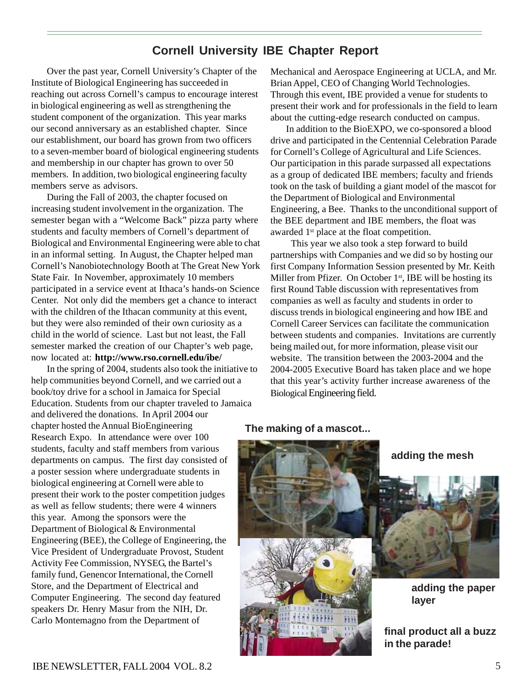## **Cornell University IBE Chapter Report**

Over the past year, Cornell University's Chapter of the Institute of Biological Engineering has succeeded in reaching out across Cornell's campus to encourage interest in biological engineering as well as strengthening the student component of the organization. This year marks our second anniversary as an established chapter. Since our establishment, our board has grown from two officers to a seven-member board of biological engineering students and membership in our chapter has grown to over 50 members. In addition, two biological engineering faculty members serve as advisors.

During the Fall of 2003, the chapter focused on increasing student involvement in the organization. The semester began with a "Welcome Back" pizza party where students and faculty members of Cornell's department of Biological and Environmental Engineering were able to chat in an informal setting. In August, the Chapter helped man Cornell's Nanobiotechnology Booth at The Great New York State Fair. In November, approximately 10 members participated in a service event at Ithaca's hands-on Science Center. Not only did the members get a chance to interact with the children of the Ithacan community at this event, but they were also reminded of their own curiosity as a child in the world of science. Last but not least, the Fall semester marked the creation of our Chapter's web page, now located at: **http://www.rso.cornell.edu/ibe/**

In the spring of 2004, students also took the initiative to help communities beyond Cornell, and we carried out a book/toy drive for a school in Jamaica for Special Education. Students from our chapter traveled to Jamaica and delivered the donations. In April 2004 our chapter hosted the Annual BioEngineering Research Expo. In attendance were over 100 students, faculty and staff members from various departments on campus. The first day consisted of a poster session where undergraduate students in biological engineering at Cornell were able to present their work to the poster competition judges as well as fellow students; there were 4 winners this year. Among the sponsors were the Department of Biological & Environmental Engineering (BEE), the College of Engineering, the Vice President of Undergraduate Provost, Student Activity Fee Commission, NYSEG, the Bartel's family fund, Genencor International, the Cornell Store, and the Department of Electrical and Computer Engineering. The second day featured speakers Dr. Henry Masur from the NIH, Dr. Carlo Montemagno from the Department of

Mechanical and Aerospace Engineering at UCLA, and Mr. Brian Appel, CEO of Changing World Technologies. Through this event, IBE provided a venue for students to present their work and for professionals in the field to learn about the cutting-edge research conducted on campus.

In addition to the BioEXPO, we co-sponsored a blood drive and participated in the Centennial Celebration Parade for Cornell's College of Agricultural and Life Sciences. Our participation in this parade surpassed all expectations as a group of dedicated IBE members; faculty and friends took on the task of building a giant model of the mascot for the Department of Biological and Environmental Engineering, a Bee. Thanks to the unconditional support of the BEE department and IBE members, the float was awarded 1<sup>st</sup> place at the float competition.

 This year we also took a step forward to build partnerships with Companies and we did so by hosting our first Company Information Session presented by Mr. Keith Miller from Pfizer. On October 1<sup>st</sup>, IBE will be hosting its first Round Table discussion with representatives from companies as well as faculty and students in order to discuss trends in biological engineering and how IBE and Cornell Career Services can facilitate the communication between students and companies. Invitations are currently being mailed out, for more information, please visit our website. The transition between the 2003-2004 and the 2004-2005 Executive Board has taken place and we hope that this year's activity further increase awareness of the Biological Engineering field.

#### **The making of a mascot...**